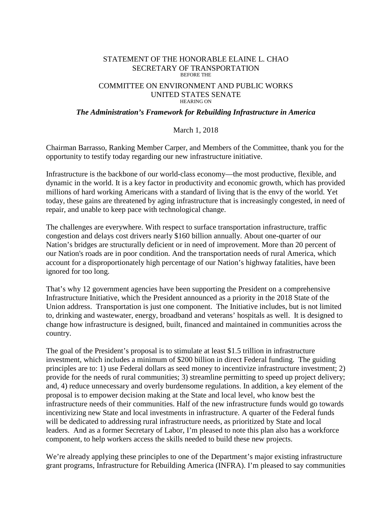## STATEMENT OF THE HONORABLE ELAINE L. CHAO SECRETARY OF TRANSPORTATION BEFORE THE

## COMMITTEE ON ENVIRONMENT AND PUBLIC WORKS UNITED STATES SENATE HEARING ON

## *The Administration's Framework for Rebuilding Infrastructure in America*

## March 1, 2018

Chairman Barrasso, Ranking Member Carper, and Members of the Committee, thank you for the opportunity to testify today regarding our new infrastructure initiative.

Infrastructure is the backbone of our world-class economy—the most productive, flexible, and dynamic in the world. It is a key factor in productivity and economic growth, which has provided millions of hard working Americans with a standard of living that is the envy of the world. Yet today, these gains are threatened by aging infrastructure that is increasingly congested, in need of repair, and unable to keep pace with technological change.

The challenges are everywhere. With respect to surface transportation infrastructure, traffic congestion and delays cost drivers nearly \$160 billion annually. About one-quarter of our Nation's bridges are structurally deficient or in need of improvement. More than 20 percent of our Nation's roads are in poor condition. And the transportation needs of rural America, which account for a disproportionately high percentage of our Nation's highway fatalities, have been ignored for too long.

That's why 12 government agencies have been supporting the President on a comprehensive Infrastructure Initiative, which the President announced as a priority in the 2018 State of the Union address. Transportation is just one component. The Initiative includes, but is not limited to, drinking and wastewater, energy, broadband and veterans' hospitals as well. It is designed to change how infrastructure is designed, built, financed and maintained in communities across the country.

The goal of the President's proposal is to stimulate at least \$1.5 trillion in infrastructure investment, which includes a minimum of \$200 billion in direct Federal funding. The guiding principles are to: 1) use Federal dollars as seed money to incentivize infrastructure investment; 2) provide for the needs of rural communities; 3) streamline permitting to speed up project delivery; and, 4) reduce unnecessary and overly burdensome regulations. In addition, a key element of the proposal is to empower decision making at the State and local level, who know best the infrastructure needs of their communities. Half of the new infrastructure funds would go towards incentivizing new State and local investments in infrastructure. A quarter of the Federal funds will be dedicated to addressing rural infrastructure needs, as prioritized by State and local leaders. And as a former Secretary of Labor, I'm pleased to note this plan also has a workforce component, to help workers access the skills needed to build these new projects.

We're already applying these principles to one of the Department's major existing infrastructure grant programs, Infrastructure for Rebuilding America (INFRA). I'm pleased to say communities